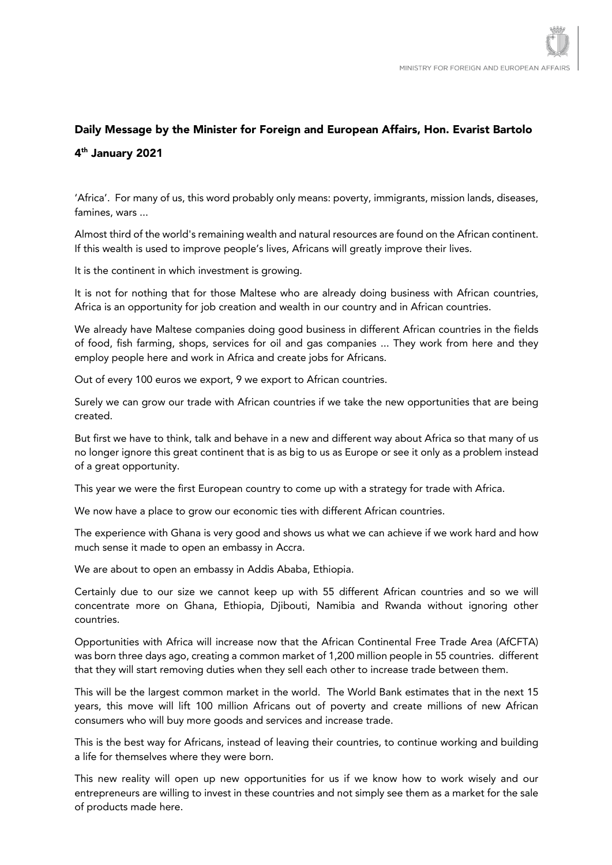## Daily Message by the Minister for Foreign and European Affairs, Hon. Evarist Bartolo 4th January 2021

'Africa'. For many of us, this word probably only means: poverty, immigrants, mission lands, diseases, famines, wars ...

Almost third of the world's remaining wealth and natural resources are found on the African continent. If this wealth is used to improve people's lives, Africans will greatly improve their lives.

It is the continent in which investment is growing.

It is not for nothing that for those Maltese who are already doing business with African countries, Africa is an opportunity for job creation and wealth in our country and in African countries.

We already have Maltese companies doing good business in different African countries in the fields of food, fish farming, shops, services for oil and gas companies ... They work from here and they employ people here and work in Africa and create jobs for Africans.

Out of every 100 euros we export, 9 we export to African countries.

Surely we can grow our trade with African countries if we take the new opportunities that are being created.

But first we have to think, talk and behave in a new and different way about Africa so that many of us no longer ignore this great continent that is as big to us as Europe or see it only as a problem instead of a great opportunity.

This year we were the first European country to come up with a strategy for trade with Africa.

We now have a place to grow our economic ties with different African countries.

The experience with Ghana is very good and shows us what we can achieve if we work hard and how much sense it made to open an embassy in Accra.

We are about to open an embassy in Addis Ababa, Ethiopia.

Certainly due to our size we cannot keep up with 55 different African countries and so we will concentrate more on Ghana, Ethiopia, Djibouti, Namibia and Rwanda without ignoring other countries.

Opportunities with Africa will increase now that the African Continental Free Trade Area (AfCFTA) was born three days ago, creating a common market of 1,200 million people in 55 countries. different that they will start removing duties when they sell each other to increase trade between them.

This will be the largest common market in the world. The World Bank estimates that in the next 15 years, this move will lift 100 million Africans out of poverty and create millions of new African consumers who will buy more goods and services and increase trade.

This is the best way for Africans, instead of leaving their countries, to continue working and building a life for themselves where they were born.

This new reality will open up new opportunities for us if we know how to work wisely and our entrepreneurs are willing to invest in these countries and not simply see them as a market for the sale of products made here.